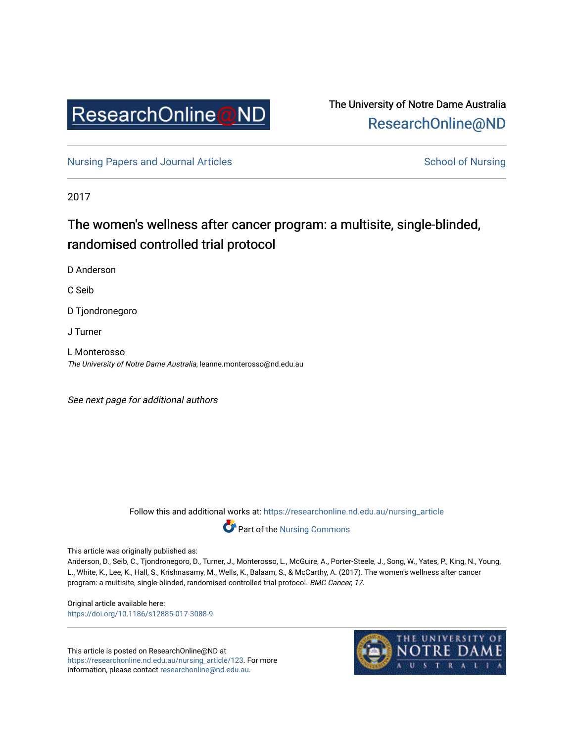

## The University of Notre Dame Australia [ResearchOnline@ND](https://researchonline.nd.edu.au/)

[Nursing Papers and Journal Articles](https://researchonline.nd.edu.au/nursing_article) **School of Nursing** School of Nursing

2017

## The women's wellness after cancer program: a multisite, single-blinded, randomised controlled trial protocol

D Anderson

C Seib

D Tjondronegoro

J Turner

L Monterosso The University of Notre Dame Australia, leanne.monterosso@nd.edu.au

See next page for additional authors

Follow this and additional works at: [https://researchonline.nd.edu.au/nursing\\_article](https://researchonline.nd.edu.au/nursing_article?utm_source=researchonline.nd.edu.au%2Fnursing_article%2F123&utm_medium=PDF&utm_campaign=PDFCoverPages) 



This article was originally published as:

Anderson, D., Seib, C., Tjondronegoro, D., Turner, J., Monterosso, L., McGuire, A., Porter-Steele, J., Song, W., Yates, P., King, N., Young, L., White, K., Lee, K., Hall, S., Krishnasamy, M., Wells, K., Balaam, S., & McCarthy, A. (2017). The women's wellness after cancer program: a multisite, single-blinded, randomised controlled trial protocol. BMC Cancer, 17.

Original article available here: <https://doi.org/10.1186/s12885-017-3088-9>

This article is posted on ResearchOnline@ND at [https://researchonline.nd.edu.au/nursing\\_article/123.](https://researchonline.nd.edu.au/nursing_article/123) For more information, please contact [researchonline@nd.edu.au.](mailto:researchonline@nd.edu.au)

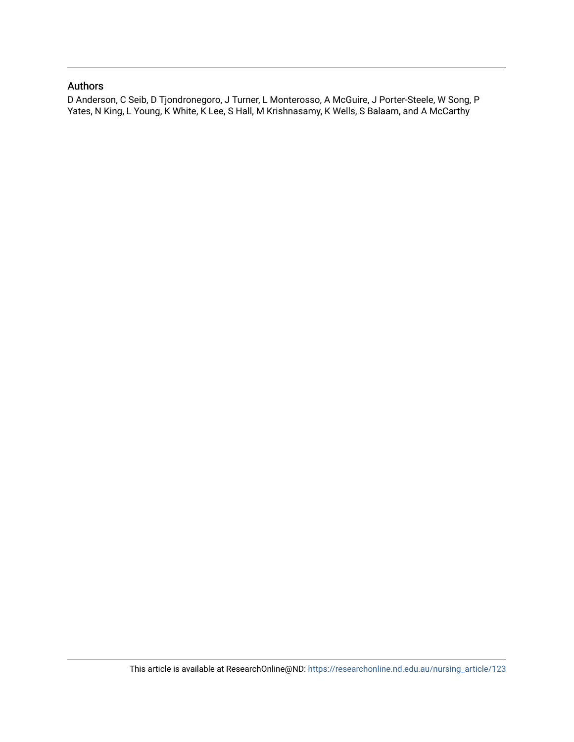### Authors

D Anderson, C Seib, D Tjondronegoro, J Turner, L Monterosso, A McGuire, J Porter-Steele, W Song, P Yates, N King, L Young, K White, K Lee, S Hall, M Krishnasamy, K Wells, S Balaam, and A McCarthy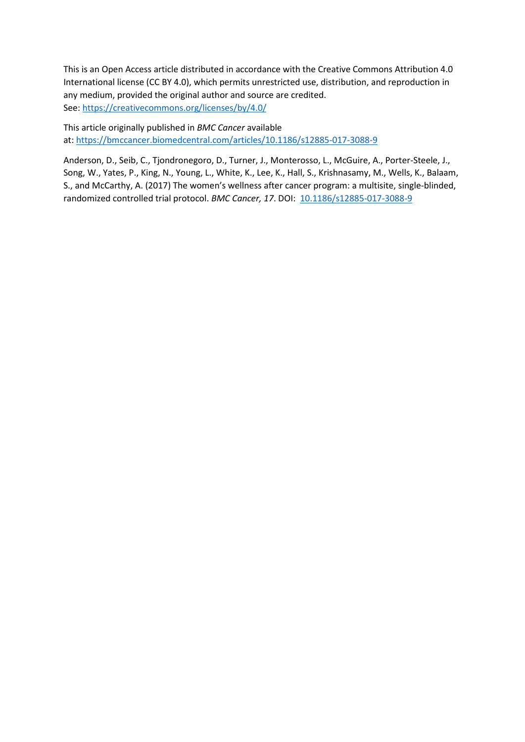This is an Open Access article distributed in accordance with the Creative Commons Attribution 4.0 International license (CC BY 4.0), which permits unrestricted use, distribution, and reproduction in any medium, provided the original author and source are credited. See[: https://creativecommons.org/licenses/by/4.0/](https://creativecommons.org/licenses/by/4.0/) 

This article originally published in *BMC Cancer* available at:<https://bmccancer.biomedcentral.com/articles/10.1186/s12885-017-3088-9>

Anderson, D., Seib, C., Tjondronegoro, D., Turner, J., Monterosso, L., McGuire, A., Porter-Steele, J., Song, W., Yates, P., King, N., Young, L., White, K., Lee, K., Hall, S., Krishnasamy, M., Wells, K., Balaam, S., and McCarthy, A. (2017) The women's wellness after cancer program: a multisite, single-blinded, randomized controlled trial protocol. *BMC Cancer, 17*. DOI: [10.1186/s12885-017-3088-9](https://doi.org/10.1186/s12885-017-3088-9)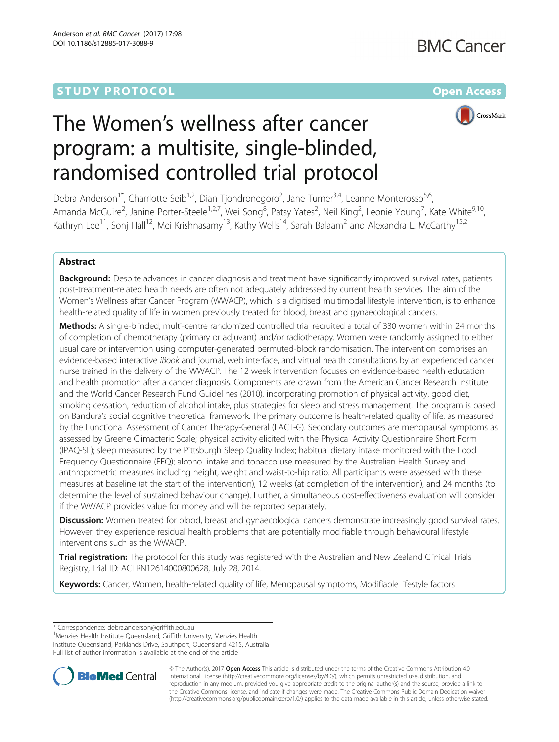## **STUDY PROTOCOL CONSUMING THE RESERVE ACCESS**



# The Women's wellness after cancer program: a multisite, single-blinded, randomised controlled trial protocol

Debra Anderson<sup>1\*</sup>, Charrlotte Seib<sup>1,2</sup>, Dian Tjondronegoro<sup>2</sup>, Jane Turner<sup>3,4</sup>, Leanne Monterosso<sup>5,6</sup>, Amanda McGuire<sup>2</sup>, Janine Porter-Steele<sup>1,2,7</sup>, Wei Song<sup>8</sup>, Patsy Yates<sup>2</sup>, Neil King<sup>2</sup>, Leonie Young<sup>7</sup>, Kate White<sup>9,10</sup>, Kathryn Lee<sup>11</sup>, Sonj Hall<sup>12</sup>, Mei Krishnasamy<sup>13</sup>, Kathy Wells<sup>14</sup>, Sarah Balaam<sup>2</sup> and Alexandra L. McCarthy<sup>15,2</sup>

#### Abstract

**Background:** Despite advances in cancer diagnosis and treatment have significantly improved survival rates, patients post-treatment-related health needs are often not adequately addressed by current health services. The aim of the Women's Wellness after Cancer Program (WWACP), which is a digitised multimodal lifestyle intervention, is to enhance health-related quality of life in women previously treated for blood, breast and gynaecological cancers.

Methods: A single-blinded, multi-centre randomized controlled trial recruited a total of 330 women within 24 months of completion of chemotherapy (primary or adjuvant) and/or radiotherapy. Women were randomly assigned to either usual care or intervention using computer-generated permuted-block randomisation. The intervention comprises an evidence-based interactive iBook and journal, web interface, and virtual health consultations by an experienced cancer nurse trained in the delivery of the WWACP. The 12 week intervention focuses on evidence-based health education and health promotion after a cancer diagnosis. Components are drawn from the American Cancer Research Institute and the World Cancer Research Fund Guidelines (2010), incorporating promotion of physical activity, good diet, smoking cessation, reduction of alcohol intake, plus strategies for sleep and stress management. The program is based on Bandura's social cognitive theoretical framework. The primary outcome is health-related quality of life, as measured by the Functional Assessment of Cancer Therapy-General (FACT-G). Secondary outcomes are menopausal symptoms as assessed by Greene Climacteric Scale; physical activity elicited with the Physical Activity Questionnaire Short Form (IPAQ-SF); sleep measured by the Pittsburgh Sleep Quality Index; habitual dietary intake monitored with the Food Frequency Questionnaire (FFQ); alcohol intake and tobacco use measured by the Australian Health Survey and anthropometric measures including height, weight and waist-to-hip ratio. All participants were assessed with these measures at baseline (at the start of the intervention), 12 weeks (at completion of the intervention), and 24 months (to determine the level of sustained behaviour change). Further, a simultaneous cost-effectiveness evaluation will consider if the WWACP provides value for money and will be reported separately.

Discussion: Women treated for blood, breast and gynaecological cancers demonstrate increasingly good survival rates. However, they experience residual health problems that are potentially modifiable through behavioural lifestyle interventions such as the WWACP.

Trial registration: The protocol for this study was registered with the Australian and New Zealand Clinical Trials Registry, Trial ID: [ACTRN12614000800628](http://www.anzctr.org.au/), July 28, 2014.

Keywords: Cancer, Women, health-related quality of life, Menopausal symptoms, Modifiable lifestyle factors

\* Correspondence: [debra.anderson@griffith.edu.au](mailto:debra.anderson@griffith.edu.au) <sup>1</sup>

<sup>1</sup>Menzies Health Institute Queensland, Griffith University, Menzies Health Institute Queensland, Parklands Drive, Southport, Queensland 4215, Australia

Full list of author information is available at the end of the article



© The Author(s). 2017 **Open Access** This article is distributed under the terms of the Creative Commons Attribution 4.0 International License [\(http://creativecommons.org/licenses/by/4.0/](http://creativecommons.org/licenses/by/4.0/)), which permits unrestricted use, distribution, and reproduction in any medium, provided you give appropriate credit to the original author(s) and the source, provide a link to the Creative Commons license, and indicate if changes were made. The Creative Commons Public Domain Dedication waiver [\(http://creativecommons.org/publicdomain/zero/1.0/](http://creativecommons.org/publicdomain/zero/1.0/)) applies to the data made available in this article, unless otherwise stated.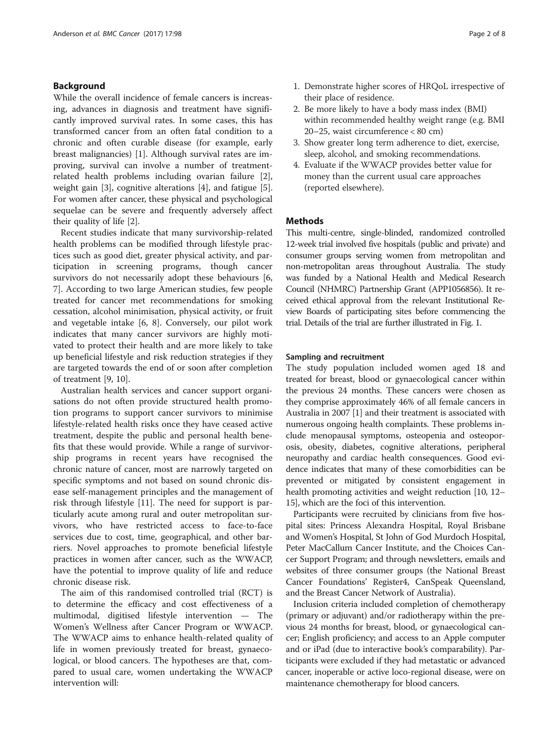#### Background

While the overall incidence of female cancers is increasing, advances in diagnosis and treatment have significantly improved survival rates. In some cases, this has transformed cancer from an often fatal condition to a chronic and often curable disease (for example, early breast malignancies) [\[1](#page-9-0)]. Although survival rates are improving, survival can involve a number of treatmentrelated health problems including ovarian failure [\[2](#page-9-0)], weight gain [[3\]](#page-9-0), cognitive alterations [\[4](#page-9-0)], and fatigue [\[5](#page-9-0)]. For women after cancer, these physical and psychological sequelae can be severe and frequently adversely affect their quality of life [[2\]](#page-9-0).

Recent studies indicate that many survivorship-related health problems can be modified through lifestyle practices such as good diet, greater physical activity, and participation in screening programs, though cancer survivors do not necessarily adopt these behaviours [\[6](#page-9-0), [7\]](#page-9-0). According to two large American studies, few people treated for cancer met recommendations for smoking cessation, alcohol minimisation, physical activity, or fruit and vegetable intake [[6, 8](#page-9-0)]. Conversely, our pilot work indicates that many cancer survivors are highly motivated to protect their health and are more likely to take up beneficial lifestyle and risk reduction strategies if they are targeted towards the end of or soon after completion of treatment [[9, 10\]](#page-10-0).

Australian health services and cancer support organisations do not often provide structured health promotion programs to support cancer survivors to minimise lifestyle-related health risks once they have ceased active treatment, despite the public and personal health benefits that these would provide. While a range of survivorship programs in recent years have recognised the chronic nature of cancer, most are narrowly targeted on specific symptoms and not based on sound chronic disease self-management principles and the management of risk through lifestyle [[11\]](#page-10-0). The need for support is particularly acute among rural and outer metropolitan survivors, who have restricted access to face-to-face services due to cost, time, geographical, and other barriers. Novel approaches to promote beneficial lifestyle practices in women after cancer, such as the WWACP, have the potential to improve quality of life and reduce chronic disease risk.

The aim of this randomised controlled trial (RCT) is to determine the efficacy and cost effectiveness of a multimodal, digitised lifestyle intervention — The Women's Wellness after Cancer Program or WWACP. The WWACP aims to enhance health-related quality of life in women previously treated for breast, gynaecological, or blood cancers. The hypotheses are that, compared to usual care, women undertaking the WWACP intervention will:

- 1. Demonstrate higher scores of HRQoL irrespective of their place of residence.
- 2. Be more likely to have a body mass index (BMI) within recommended healthy weight range (e.g. BMI 20–25, waist circumference < 80 cm)
- 3. Show greater long term adherence to diet, exercise, sleep, alcohol, and smoking recommendations.
- 4. Evaluate if the WWACP provides better value for money than the current usual care approaches (reported elsewhere).

#### Methods

This multi-centre, single-blinded, randomized controlled 12-week trial involved five hospitals (public and private) and consumer groups serving women from metropolitan and non-metropolitan areas throughout Australia. The study was funded by a National Health and Medical Research Council (NHMRC) Partnership Grant (APP1056856). It received ethical approval from the relevant Institutional Review Boards of participating sites before commencing the trial. Details of the trial are further illustrated in Fig. [1](#page-5-0).

#### Sampling and recruitment

The study population included women aged 18 and treated for breast, blood or gynaecological cancer within the previous 24 months. These cancers were chosen as they comprise approximately 46% of all female cancers in Australia in 2007 [[1](#page-9-0)] and their treatment is associated with numerous ongoing health complaints. These problems include menopausal symptoms, osteopenia and osteoporosis, obesity, diabetes, cognitive alterations, peripheral neuropathy and cardiac health consequences. Good evidence indicates that many of these comorbidities can be prevented or mitigated by consistent engagement in health promoting activities and weight reduction [\[10, 12](#page-10-0)– [15](#page-10-0)], which are the foci of this intervention.

Participants were recruited by clinicians from five hospital sites: Princess Alexandra Hospital, Royal Brisbane and Women's Hospital, St John of God Murdoch Hospital, Peter MacCallum Cancer Institute, and the Choices Cancer Support Program; and through newsletters, emails and websites of three consumer groups (the National Breast Cancer Foundations' Register4, CanSpeak Queensland, and the Breast Cancer Network of Australia).

Inclusion criteria included completion of chemotherapy (primary or adjuvant) and/or radiotherapy within the previous 24 months for breast, blood, or gynaecological cancer; English proficiency; and access to an Apple computer and or iPad (due to interactive book's comparability). Participants were excluded if they had metastatic or advanced cancer, inoperable or active loco-regional disease, were on maintenance chemotherapy for blood cancers.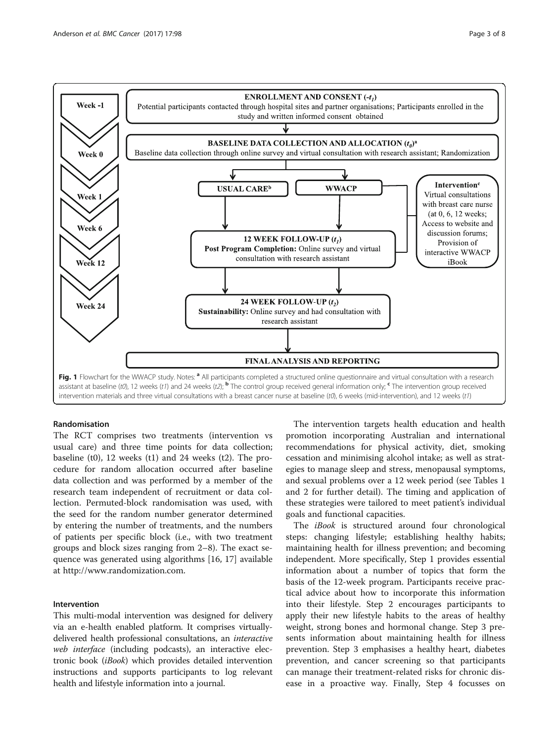<span id="page-5-0"></span>

#### Randomisation

The RCT comprises two treatments (intervention vs usual care) and three time points for data collection; baseline (t0),  $12$  weeks (t1) and  $24$  weeks (t2). The procedure for random allocation occurred after baseline data collection and was performed by a member of the research team independent of recruitment or data collection. Permuted-block randomisation was used, with the seed for the random number generator determined by entering the number of treatments, and the numbers of patients per specific block (i.e., with two treatment groups and block sizes ranging from 2–8). The exact sequence was generated using algorithms [[16](#page-10-0), [17\]](#page-10-0) available at [http://www.randomization.com.](http://www.randomization.com/)

#### Intervention

This multi-modal intervention was designed for delivery via an e-health enabled platform. It comprises virtuallydelivered health professional consultations, an interactive web interface (including podcasts), an interactive electronic book (iBook) which provides detailed intervention instructions and supports participants to log relevant health and lifestyle information into a journal.

The intervention targets health education and health promotion incorporating Australian and international recommendations for physical activity, diet, smoking cessation and minimising alcohol intake; as well as strategies to manage sleep and stress, menopausal symptoms, and sexual problems over a 12 week period (see Tables [1](#page-6-0) and [2](#page-6-0) for further detail). The timing and application of these strategies were tailored to meet patient's individual goals and functional capacities.

The *iBook* is structured around four chronological steps: changing lifestyle; establishing healthy habits; maintaining health for illness prevention; and becoming independent. More specifically, Step 1 provides essential information about a number of topics that form the basis of the 12-week program. Participants receive practical advice about how to incorporate this information into their lifestyle. Step 2 encourages participants to apply their new lifestyle habits to the areas of healthy weight, strong bones and hormonal change. Step 3 presents information about maintaining health for illness prevention. Step 3 emphasises a healthy heart, diabetes prevention, and cancer screening so that participants can manage their treatment-related risks for chronic disease in a proactive way. Finally, Step 4 focusses on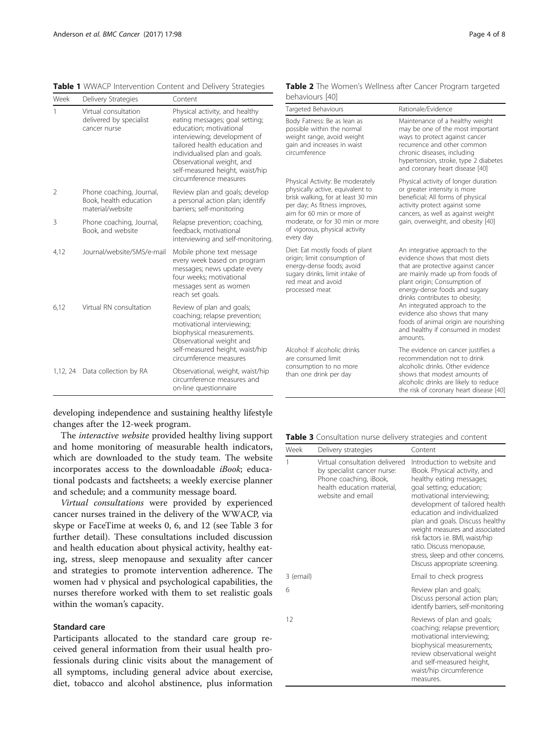<span id="page-6-0"></span>

| Table 1 WWACP Intervention Content and Delivery Strategies |  |  |  |
|------------------------------------------------------------|--|--|--|
|------------------------------------------------------------|--|--|--|

| Week                                 | Delivery Strategies                                                                                                                                                                                                                                                                               | Content                                                                                                                                                                                                        | behaviours [40]                                                                                                                                                   |  |
|--------------------------------------|---------------------------------------------------------------------------------------------------------------------------------------------------------------------------------------------------------------------------------------------------------------------------------------------------|----------------------------------------------------------------------------------------------------------------------------------------------------------------------------------------------------------------|-------------------------------------------------------------------------------------------------------------------------------------------------------------------|--|
| $\mathbf{1}$<br>Virtual consultation | Physical activity, and healthy                                                                                                                                                                                                                                                                    | Targeted Behaviours                                                                                                                                                                                            |                                                                                                                                                                   |  |
|                                      | delivered by specialist<br>eating messages; goal setting;<br>education; motivational<br>cancer nurse<br>interviewing; development of<br>tailored health education and<br>individualised plan and goals.<br>Observational weight, and<br>self-measured height, waist/hip<br>circumference measures |                                                                                                                                                                                                                | Body Fatness: Be as lean a<br>possible within the norma<br>weight range, avoid weigh<br>gain and increases in wais<br>circumference<br>Physical Activity: Be mode |  |
| 2                                    | Phone coaching, Journal,<br>Book, health education<br>material/website                                                                                                                                                                                                                            | Review plan and goals; develop<br>a personal action plan; identify<br>barriers; self-monitoring                                                                                                                | physically active, equivaler<br>brisk walking, for at least 3<br>per day; As fitness improve<br>aim for 60 min or more of                                         |  |
| 3                                    | Phone coaching, Journal,<br>Book, and website                                                                                                                                                                                                                                                     | Relapse prevention; coaching,<br>feedback, motivational<br>interviewing and self-monitoring.                                                                                                                   | moderate, or for 30 min o<br>of vigorous, physical activi<br>every day                                                                                            |  |
| 4,12                                 | Journal/website/SMS/e-mail                                                                                                                                                                                                                                                                        | Mobile phone text message<br>every week based on program<br>messages; news update every<br>four weeks; motivational<br>messages sent as women<br>reach set goals.                                              | Diet: Eat mostly foods of p<br>origin; limit consumption<br>energy-dense foods; avoid<br>sugary drinks, limit intake<br>red meat and avoid<br>processed meat      |  |
| 6,12                                 | Virtual RN consultation                                                                                                                                                                                                                                                                           | Review of plan and goals;<br>coaching; relapse prevention;<br>motivational interviewing;<br>biophysical measurements.<br>Observational weight and<br>self-measured height, waist/hip<br>circumference measures | Alcohol: If alcoholic drinks<br>are consumed limit                                                                                                                |  |
|                                      | 1,12, 24 Data collection by RA                                                                                                                                                                                                                                                                    | Observational, weight, waist/hip<br>circumference measures and<br>on-line questionnaire                                                                                                                        | consumption to no more<br>than one drink per day                                                                                                                  |  |

developing independence and sustaining healthy lifestyle changes after the 12-week program.

The interactive website provided healthy living support and home monitoring of measurable health indicators, which are downloaded to the study team. The website incorporates access to the downloadable *iBook*; educational podcasts and factsheets; a weekly exercise planner and schedule; and a community message board.

Virtual consultations were provided by experienced cancer nurses trained in the delivery of the WWACP, via skype or FaceTime at weeks 0, 6, and 12 (see Table 3 for further detail). These consultations included discussion and health education about physical activity, healthy eating, stress, sleep menopause and sexuality after cancer and strategies to promote intervention adherence. The women had v physical and psychological capabilities, the nurses therefore worked with them to set realistic goals within the woman's capacity.

#### Standard care

Participants allocated to the standard care group received general information from their usual health professionals during clinic visits about the management of all symptoms, including general advice about exercise, diet, tobacco and alcohol abstinence, plus information

| $10011 - 101$                                                                                                                                                                                           |                                                                                                                                                                                                                                                 |
|---------------------------------------------------------------------------------------------------------------------------------------------------------------------------------------------------------|-------------------------------------------------------------------------------------------------------------------------------------------------------------------------------------------------------------------------------------------------|
| ed Behaviours                                                                                                                                                                                           | Rationale/Evidence                                                                                                                                                                                                                              |
| atness: Be as lean as<br>e within the normal<br>range, avoid weight<br>nd increases in waist<br>ference                                                                                                 | Maintenance of a healthy weight<br>may be one of the most important<br>ways to protect against cancer<br>recurrence and other common<br>chronic diseases, including<br>hypertension, stroke, type 2 diabetes<br>and coronary heart disease [40] |
| Il Activity: Be moderately<br>ally active, equivalent to<br>alking, for at least 30 min<br>y; As fitness improves,<br>60 min or more of<br>ate, or for 30 min or more<br>rous, physical activity<br>łay | Physical activity of longer duration<br>or greater intensity is more<br>beneficial; All forms of physical<br>activity protect against some<br>cancers, as well as against weight<br>gain, overweight, and obesity [40]                          |
| at mostly foods of plant<br>limit consumption of<br>-dense foods; avoid<br>drinks, limit intake of<br>at and avoid<br>sed meat                                                                          | An integrative approach to the<br>evidence shows that most diets<br>that are protective against cancer<br>are mainly made up from foods of<br>plant origin; Consumption of<br>energy-dense foods and sugary                                     |

#### Table 2 The Women's Wellness after Cancer Program targeted behaviours [\[40\]](#page-10-0)

alcoholic drinks are likely to reduce the risk of coronary heart disease [\[40\]](#page-10-0)

amounts.

drinks contributes to obesity; An integrated approach to the evidence also shows that many foods of animal origin are nourishing and healthy if consumed in modest

The evidence on cancer justifies a recommendation not to drink alcoholic drinks. Other evidence shows that modest amounts of

| Week      | Delivery strategies                                                                                                                        | Content                                                                                                                                                                                                                                                                                                                                                                                                                           |
|-----------|--------------------------------------------------------------------------------------------------------------------------------------------|-----------------------------------------------------------------------------------------------------------------------------------------------------------------------------------------------------------------------------------------------------------------------------------------------------------------------------------------------------------------------------------------------------------------------------------|
| 1         | Virtual consultation delivered<br>by specialist cancer nurse:<br>Phone coaching, iBook,<br>health education material,<br>website and email | Introduction to website and<br>IBook. Physical activity, and<br>healthy eating messages;<br>goal setting; education;<br>motivational interviewing;<br>development of tailored health<br>education and individualized<br>plan and goals. Discuss healthy<br>weight measures and associated<br>risk factors i.e. BMI, waist/hip<br>ratio. Discuss menopause,<br>stress, sleep and other concerns.<br>Discuss appropriate screening. |
| 3 (email) |                                                                                                                                            | Email to check progress                                                                                                                                                                                                                                                                                                                                                                                                           |
| 6         |                                                                                                                                            | Review plan and goals;<br>Discuss personal action plan;<br>identify barriers, self-monitoring                                                                                                                                                                                                                                                                                                                                     |
| 12        |                                                                                                                                            | Reviews of plan and goals;<br>coaching; relapse prevention;<br>motivational interviewing;<br>biophysical measurements;<br>review observational weight<br>and self-measured height,<br>waist/hip circumference<br>measures.                                                                                                                                                                                                        |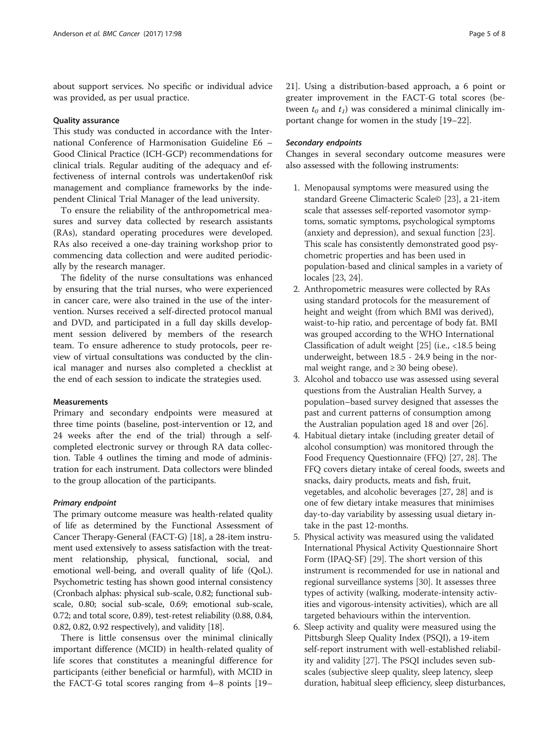about support services. No specific or individual advice was provided, as per usual practice.

#### Quality assurance

This study was conducted in accordance with the International Conference of Harmonisation Guideline E6 – Good Clinical Practice (ICH-GCP) recommendations for clinical trials. Regular auditing of the adequacy and effectiveness of internal controls was undertaken0of risk management and compliance frameworks by the independent Clinical Trial Manager of the lead university.

To ensure the reliability of the anthropometrical measures and survey data collected by research assistants (RAs), standard operating procedures were developed. RAs also received a one-day training workshop prior to commencing data collection and were audited periodically by the research manager.

The fidelity of the nurse consultations was enhanced by ensuring that the trial nurses, who were experienced in cancer care, were also trained in the use of the intervention. Nurses received a self-directed protocol manual and DVD, and participated in a full day skills development session delivered by members of the research team. To ensure adherence to study protocols, peer review of virtual consultations was conducted by the clinical manager and nurses also completed a checklist at the end of each session to indicate the strategies used.

#### **Measurements**

Primary and secondary endpoints were measured at three time points (baseline, post-intervention or 12, and 24 weeks after the end of the trial) through a selfcompleted electronic survey or through RA data collection. Table [4](#page-8-0) outlines the timing and mode of administration for each instrument. Data collectors were blinded to the group allocation of the participants.

#### Primary endpoint

The primary outcome measure was health-related quality of life as determined by the Functional Assessment of Cancer Therapy-General (FACT-G) [\[18\]](#page-10-0), a 28-item instrument used extensively to assess satisfaction with the treatment relationship, physical, functional, social, and emotional well-being, and overall quality of life (QoL). Psychometric testing has shown good internal consistency (Cronbach alphas: physical sub-scale, 0.82; functional subscale, 0.80; social sub-scale, 0.69; emotional sub-scale, 0.72; and total score, 0.89), test-retest reliability (0.88, 0.84, 0.82, 0.82, 0.92 respectively), and validity [\[18\]](#page-10-0).

There is little consensus over the minimal clinically important difference (MCID) in health-related quality of life scores that constitutes a meaningful difference for participants (either beneficial or harmful), with MCID in the FACT-G total scores ranging from 4–8 points [[19](#page-10-0)–

[21\]](#page-10-0). Using a distribution-based approach, a 6 point or greater improvement in the FACT-G total scores (between  $t_0$  and  $t_1$ ) was considered a minimal clinically important change for women in the study [[19](#page-10-0)–[22](#page-10-0)].

#### Secondary endpoints

Changes in several secondary outcome measures were also assessed with the following instruments:

- 1. Menopausal symptoms were measured using the standard Greene Climacteric Scale© [\[23](#page-10-0)], a 21-item scale that assesses self-reported vasomotor symptoms, somatic symptoms, psychological symptoms (anxiety and depression), and sexual function [[23](#page-10-0)]. This scale has consistently demonstrated good psychometric properties and has been used in population-based and clinical samples in a variety of locales [\[23,](#page-10-0) [24](#page-10-0)].
- 2. Anthropometric measures were collected by RAs using standard protocols for the measurement of height and weight (from which BMI was derived), waist-to-hip ratio, and percentage of body fat. BMI was grouped according to the WHO International Classification of adult weight [\[25\]](#page-10-0) (i.e., <18.5 being underweight, between 18.5 - 24.9 being in the normal weight range, and  $\geq$  30 being obese).
- 3. Alcohol and tobacco use was assessed using several questions from the Australian Health Survey, a population–based survey designed that assesses the past and current patterns of consumption among the Australian population aged 18 and over [[26](#page-10-0)].
- 4. Habitual dietary intake (including greater detail of alcohol consumption) was monitored through the Food Frequency Questionnaire (FFQ) [[27](#page-10-0), [28](#page-10-0)]. The FFQ covers dietary intake of cereal foods, sweets and snacks, dairy products, meats and fish, fruit, vegetables, and alcoholic beverages [\[27,](#page-10-0) [28](#page-10-0)] and is one of few dietary intake measures that minimises day-to-day variability by assessing usual dietary intake in the past 12-months.
- 5. Physical activity was measured using the validated International Physical Activity Questionnaire Short Form (IPAQ-SF) [[29\]](#page-10-0). The short version of this instrument is recommended for use in national and regional surveillance systems [\[30](#page-10-0)]. It assesses three types of activity (walking, moderate-intensity activities and vigorous-intensity activities), which are all targeted behaviours within the intervention.
- 6. Sleep activity and quality were measured using the Pittsburgh Sleep Quality Index (PSQI), a 19-item self-report instrument with well-established reliability and validity [[27\]](#page-10-0). The PSQI includes seven subscales (subjective sleep quality, sleep latency, sleep duration, habitual sleep efficiency, sleep disturbances,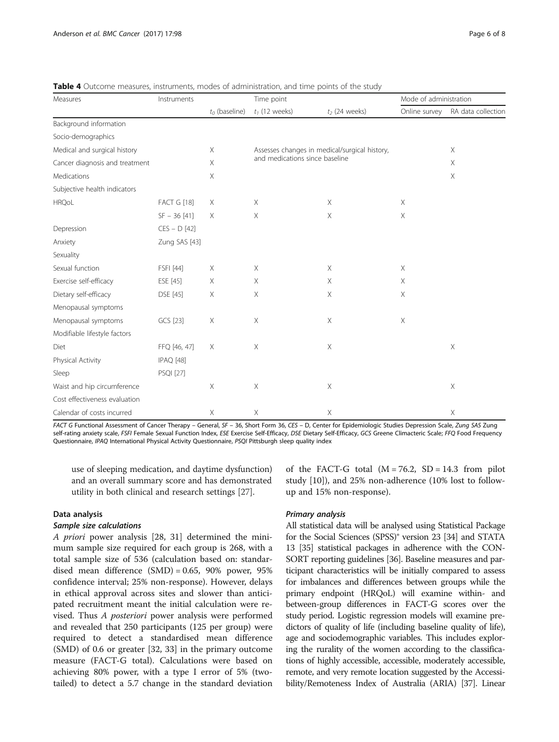| Measures                       | Instruments        |                  | Time point                                                                      |                 | Mode of administration |                    |
|--------------------------------|--------------------|------------------|---------------------------------------------------------------------------------|-----------------|------------------------|--------------------|
|                                |                    | $t_0$ (baseline) | $t_1$ (12 weeks)                                                                | $t2$ (24 weeks) | Online survey          | RA data collection |
| Background information         |                    |                  |                                                                                 |                 |                        |                    |
| Socio-demographics             |                    |                  |                                                                                 |                 |                        |                    |
| Medical and surgical history   |                    | X                | Assesses changes in medical/surgical history,<br>and medications since baseline |                 |                        | X                  |
| Cancer diagnosis and treatment |                    | Χ                |                                                                                 |                 |                        | $\times$           |
| Medications                    |                    | X                |                                                                                 |                 |                        | $\times$           |
| Subjective health indicators   |                    |                  |                                                                                 |                 |                        |                    |
| <b>HRQoL</b>                   | <b>FACT G [18]</b> | Χ                | $\times$                                                                        | X               | $\times$               |                    |
|                                | $SF - 36[41]$      | $\times$         | X                                                                               | $\times$        | $\times$               |                    |
| Depression                     | $CES - D$ [42]     |                  |                                                                                 |                 |                        |                    |
| Anxiety                        | Zung SAS [43]      |                  |                                                                                 |                 |                        |                    |
| Sexuality                      |                    |                  |                                                                                 |                 |                        |                    |
| Sexual function                | <b>FSFI [44]</b>   | Χ                | X                                                                               | X               | $\times$               |                    |
| Exercise self-efficacy         | ESE [45]           | Χ                | X                                                                               | Χ               | Χ                      |                    |
| Dietary self-efficacy          | <b>DSE [45]</b>    | X                | Χ                                                                               | X               | Χ                      |                    |
| Menopausal symptoms            |                    |                  |                                                                                 |                 |                        |                    |
| Menopausal symptoms            | GCS [23]           | Χ                | X                                                                               | Χ               | $\mathsf X$            |                    |
| Modifiable lifestyle factors   |                    |                  |                                                                                 |                 |                        |                    |
| Diet                           | FFQ [46, 47]       | Χ                | Χ                                                                               | Χ               |                        | Χ                  |
| Physical Activity              | <b>IPAQ [48]</b>   |                  |                                                                                 |                 |                        |                    |

<span id="page-8-0"></span>Table 4 Outcome measures, instruments, modes of administration, and time points of the study

FACT G Functional Assessment of Cancer Therapy – General, SF – 36, Short Form 36, CES – D, Center for Epidemiologic Studies Depression Scale, Zung SAS Zung self-rating anxiety scale, FSFI Female Sexual Function Index, ESE Exercise Self-Efficacy, DSE Dietary Self-Efficacy, GCS Greene Climacteric Scale; FFQ Food Frequency Questionnaire, IPAQ International Physical Activity Questionnaire, PSQI Pittsburgh sleep quality index

Waist and hip circumference X X X X

Calendar of costs incurred X X X X

use of sleeping medication, and daytime dysfunction) and an overall summary score and has demonstrated utility in both clinical and research settings [[27](#page-10-0)].

#### Data analysis

 $S_{\Theta}$ 

#### Sample size calculations

Cost effectiveness evaluation

Sleep PSQI [[27](#page-10-0)]

A priori power analysis [[28, 31](#page-10-0)] determined the minimum sample size required for each group is 268, with a total sample size of 536 (calculation based on: standardised mean difference  $(SMD) = 0.65$ , 90% power, 95% confidence interval; 25% non-response). However, delays in ethical approval across sites and slower than anticipated recruitment meant the initial calculation were revised. Thus A posteriori power analysis were performed and revealed that 250 participants (125 per group) were required to detect a standardised mean difference (SMD) of 0.6 or greater [[32, 33\]](#page-10-0) in the primary outcome measure (FACT-G total). Calculations were based on achieving 80% power, with a type I error of 5% (twotailed) to detect a 5.7 change in the standard deviation of the FACT-G total  $(M = 76.2, SD = 14.3$  from pilot study [\[10\]](#page-10-0)), and 25% non-adherence (10% lost to followup and 15% non-response).

#### Primary analysis

All statistical data will be analysed using Statistical Package for the Social Sciences (SPSS)® version 23 [[34](#page-10-0)] and STATA 13 [[35](#page-10-0)] statistical packages in adherence with the CON-SORT reporting guidelines [\[36](#page-10-0)]. Baseline measures and participant characteristics will be initially compared to assess for imbalances and differences between groups while the primary endpoint (HRQoL) will examine within- and between-group differences in FACT-G scores over the study period. Logistic regression models will examine predictors of quality of life (including baseline quality of life), age and sociodemographic variables. This includes exploring the rurality of the women according to the classifications of highly accessible, accessible, moderately accessible, remote, and very remote location suggested by the Accessibility/Remoteness Index of Australia (ARIA) [\[37\]](#page-10-0). Linear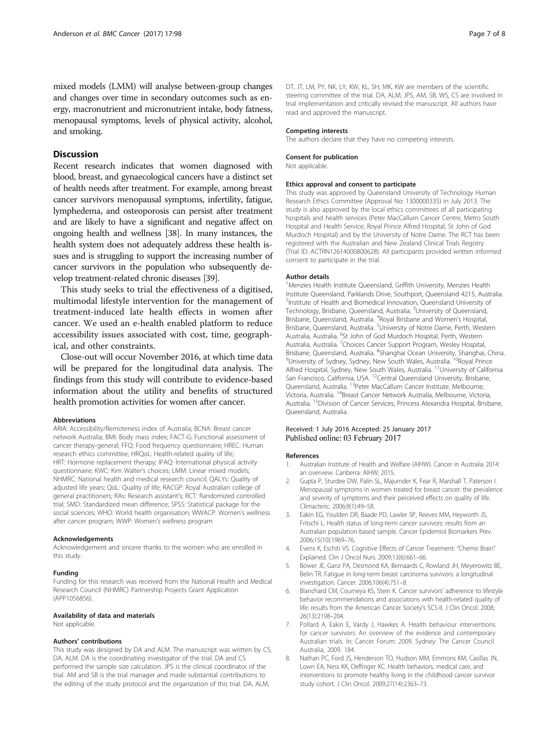<span id="page-9-0"></span>mixed models (LMM) will analyse between-group changes and changes over time in secondary outcomes such as energy, macronutrient and micronutrient intake, body fatness, menopausal symptoms, levels of physical activity, alcohol, and smoking.

#### **Discussion**

Recent research indicates that women diagnosed with blood, breast, and gynaecological cancers have a distinct set of health needs after treatment. For example, among breast cancer survivors menopausal symptoms, infertility, fatigue, lymphedema, and osteoporosis can persist after treatment and are likely to have a significant and negative affect on ongoing health and wellness [\[38](#page-10-0)]. In many instances, the health system does not adequately address these health issues and is struggling to support the increasing number of cancer survivors in the population who subsequently develop treatment-related chronic diseases [\[39\]](#page-10-0).

This study seeks to trial the effectiveness of a digitised, multimodal lifestyle intervention for the management of treatment-induced late health effects in women after cancer. We used an e-health enabled platform to reduce accessibility issues associated with cost, time, geographical, and other constraints.

Close-out will occur November 2016, at which time data will be prepared for the longitudinal data analysis. The findings from this study will contribute to evidence-based information about the utility and benefits of structured health promotion activities for women after cancer.

#### Abbreviations

ARIA: Accessibility/Remoteness index of Australia; BCNA: Breast cancer network Australia; BMI: Body mass index; FACT-G: Functional assessment of cancer therapy-general; FFQ: Food frequency questionnaire; HREC: Human research ethics committee; HRQoL: Health-related quality of life; HRT: Hormone replacement therapy; IPAQ: International physical activity questionnaire; KWC: Kim Walter's choices; LMM: Linear mixed models; NHMRC: National health and medical research council; QALYs: Quality of adjusted life years; QoL: Quality of life; RACGP: Royal Australian college of general practitioners; RAs: Research assistant's; RCT: Randomized controlled trial; SMD: Standardized mean difference; SPSS: Statistical package for the social sciences; WHO: World health organisation; WWACP: Women's wellness after cancer program; WWP: Women's wellness program

#### Acknowledgements

Acknowledgement and sincere thanks to the women who are enrolled in this study.

#### Funding

Funding for this research was received from the National Health and Medical Research Council (NHMRC) Partnership Projects Grant Application (APP1056856).

#### Availability of data and materials

Not applicable.

#### Authors' contributions

This study was designed by DA and ALM. The manuscript was written by CS, DA, ALM. DA is the coordinating investigator of the trial. DA and CS performed the sample size calculation. JPS is the clinical coordinator of the trial. AM and SB is the trial manager and made substantial contributions to the editing of the study protocol and the organization of this trial. DA, ALM,

DT, JT, LM, PY, NK, LY, KW, KL, SH, MK, KW are members of the scientific steering committee of the trial. DA, ALM, JPS, AM, SB, WS, CS are involved in trial implementation and critically revised the manuscript. All authors have read and approved the manuscript.

#### Competing interests

The authors declare that they have no competing interests.

#### Consent for publication

Not applicable.

#### Ethics approval and consent to participate

This study was approved by Queensland University of Technology Human Research Ethics Committee (Approval No: 1300000335) in July 2013. The study is also approved by the local ethics committees of all participating hospitals and health services (Peter MacCallum Cancer Centre, Metro South Hospital and Health Service, Royal Prince Alfred Hospital, St John of God Murdoch Hospital) and by the University of Notre Dame. The RCT has been registered with the Australian and New Zealand Clinical Trials Registry (Trial ID: ACTRN12614000800628). All participants provided written informed consent to participate in the trial.

#### Author details

<sup>1</sup> Menzies Health Institute Queensland, Griffith University, Menzies Health Institute Queensland, Parklands Drive, Southport, Queensland 4215, Australia. <sup>2</sup>Institute of Health and Biomedical Innovation, Queensland University of Technology, Brisbane, Queensland, Australia. <sup>3</sup>University of Queensland Brisbane, Queensland, Australia. <sup>4</sup>Royal Brisbane and Women's Hospital Brisbane, Queensland, Australia. <sup>5</sup>University of Notre Dame, Perth, Western Australia, Australia. <sup>6</sup>St John of God Murdoch Hospital, Perth, Western Australia, Australia. <sup>7</sup>Choices Cancer Support Program, Wesley Hospital Brisbane, Queensland, Australia. <sup>8</sup>Shanghai Ocean University, Shanghai, China.<br><sup>9</sup>University of Sydnov, Sydnov, Now South Wales, Australia. <sup>19</sup>Pougl Prince. <sup>9</sup>University of Sydney, Sydney, New South Wales, Australia. <sup>10</sup>Royal Prince Alfred Hospital, Sydney, New South Wales, Australia. 11University of California San Francisco, California, USA. <sup>12</sup>Central Queensland University, Brisbane, Queensland, Australia. 13Peter MacCallum Cancer Institute, Melbourne, Victoria, Australia. <sup>14</sup>Breast Cancer Network Australia, Melbourne, Victoria, Australia. 15Division of Cancer Services, Princess Alexandra Hospital, Brisbane, Queensland, Australia.

#### Received: 1 July 2016 Accepted: 25 January 2017 Published online: 03 February 2017

#### References

- 1. Australian Institute of Health and Welfare (AIHW). Cancer in Australia 2014: an overview. Canberra: AIHW; 2015.
- 2. Gupta P, Sturdee DW, Palin SL, Majumder K, Fear R, Marshall T, Paterson I. Menopausal symptoms in women treated for breast cancer: the prevalence and severity of symptoms and their perceived effects on quality of life. Climacteric. 2006;9(1):49–58.
- 3. Eakin EG, Youlden DR, Baade PD, Lawler SP, Reeves MM, Heyworth JS, Fritschi L. Health status of long-term cancer survivors: results from an Australian population-based sample. Cancer Epidemiol Biomarkers Prev. 2006;15(10):1969–76.
- 4. Evens K, Eschiti VS. Cognitive Effects of Cancer Treatment: "Chemo Brain" Explained. Clin J Oncol Nurs. 2009;13(6):661–66.
- 5. Bower JE, Ganz PA, Desmond KA, Bernaards C, Rowland JH, Meyerowitz BE, Belin TR. Fatigue in long-term breast carcinoma survivors: a longitudinal investigation. Cancer. 2006;106(4):751–8.
- 6. Blanchard CM, Courneya KS, Stein K. Cancer survivors' adherence to lifestyle behavior recommendations and associations with health-related quality of life: results from the American Cancer Society's SCS-II. J Clin Oncol. 2008; 26(13):2198–204.
- 7. Pollard A, Eakin E, Vardy J, Hawkes A. Health behaviour interventions for cancer survivors: An overview of the evidence and contemporary Australian trials. In: Cancer Forum: 2009. Sydney: The Cancer Council Australia; 2009. 184.
- 8. Nathan PC, Ford JS, Henderson TO, Hudson MM, Emmons KM, Casillas JN, Lown EA, Ness KK, Oeffinger KC. Health behaviors, medical care, and interventions to promote healthy living in the childhood cancer survivor study cohort. J Clin Oncol. 2009;27(14):2363–73.